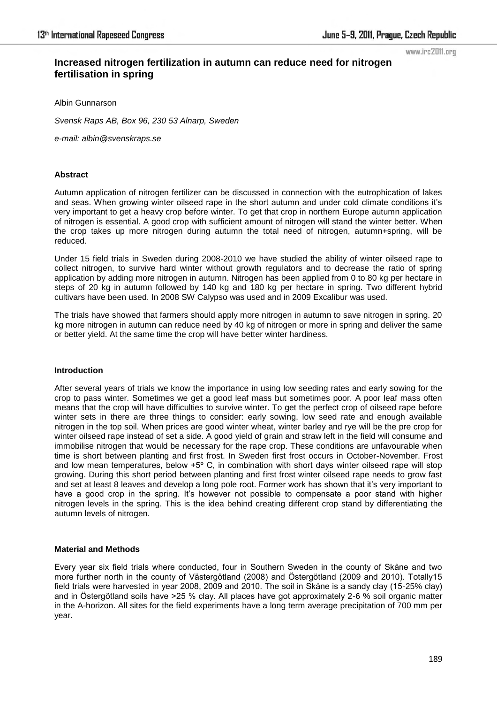www.irc2011.org

# **Increased nitrogen fertilization in autumn can reduce need for nitrogen fertilisation in spring**

Albin Gunnarson

*Svensk Raps AB, Box 96, 230 53 Alnarp, Sweden* 

*e-mail: albin@svenskraps.se* 

### **Abstract**

Autumn application of nitrogen fertilizer can be discussed in connection with the eutrophication of lakes and seas. When growing winter oilseed rape in the short autumn and under cold climate conditions it's very important to get a heavy crop before winter. To get that crop in northern Europe autumn application of nitrogen is essential. A good crop with sufficient amount of nitrogen will stand the winter better. When the crop takes up more nitrogen during autumn the total need of nitrogen, autumn+spring, will be reduced.

Under 15 field trials in Sweden during 2008-2010 we have studied the ability of winter oilseed rape to collect nitrogen, to survive hard winter without growth regulators and to decrease the ratio of spring application by adding more nitrogen in autumn. Nitrogen has been applied from 0 to 80 kg per hectare in steps of 20 kg in autumn followed by 140 kg and 180 kg per hectare in spring. Two different hybrid cultivars have been used. In 2008 SW Calypso was used and in 2009 Excalibur was used.

The trials have showed that farmers should apply more nitrogen in autumn to save nitrogen in spring. 20 kg more nitrogen in autumn can reduce need by 40 kg of nitrogen or more in spring and deliver the same or better yield. At the same time the crop will have better winter hardiness.

## **Introduction**

After several years of trials we know the importance in using low seeding rates and early sowing for the crop to pass winter. Sometimes we get a good leaf mass but sometimes poor. A poor leaf mass often means that the crop will have difficulties to survive winter. To get the perfect crop of oilseed rape before winter sets in there are three things to consider: early sowing, low seed rate and enough available nitrogen in the top soil. When prices are good winter wheat, winter barley and rye will be the pre crop for winter oilseed rape instead of set a side. A good yield of grain and straw left in the field will consume and immobilise nitrogen that would be necessary for the rape crop. These conditions are unfavourable when time is short between planting and first frost. In Sweden first frost occurs in October-November. Frost and low mean temperatures, below  $+5^{\circ}$  C, in combination with short days winter oilseed rape will stop growing. During this short period between planting and first frost winter oilseed rape needs to grow fast and set at least 8 leaves and develop a long pole root. Former work has shown that it's very important to have a good crop in the spring. It's however not possible to compensate a poor stand with higher nitrogen levels in the spring. This is the idea behind creating different crop stand by differentiating the autumn levels of nitrogen.

#### **Material and Methods**

Every year six field trials where conducted, four in Southern Sweden in the county of Skåne and two more further north in the county of Västergötland (2008) and Östergötland (2009 and 2010). Totally15 field trials were harvested in year 2008, 2009 and 2010. The soil in Skåne is a sandy clay (15-25% clay) and in Östergötland soils have >25 % clay. All places have got approximately 2-6 % soil organic matter in the A-horizon. All sites for the field experiments have a long term average precipitation of 700 mm per year.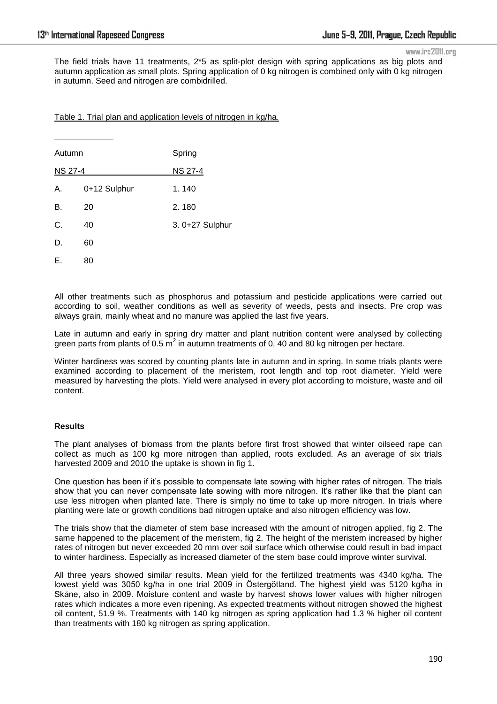$\overline{a}$ 

www.irc2011.org

The field trials have 11 treatments, 2\*5 as split-plot design with spring applications as big plots and autumn application as small plots. Spring application of 0 kg nitrogen is combined only with 0 kg nitrogen in autumn. Seed and nitrogen are combidrilled.

Table 1. Trial plan and application levels of nitrogen in kg/ha.

| Autumn         |              | Spring          |
|----------------|--------------|-----------------|
| <b>NS 27-4</b> |              | <b>NS 27-4</b>  |
| Α.             | 0+12 Sulphur | 1.140           |
| В.             | 20           | 2.180           |
| C.             | 40           | 3. 0+27 Sulphur |
| D.             | 60           |                 |
| Е.             | 80           |                 |

All other treatments such as phosphorus and potassium and pesticide applications were carried out according to soil, weather conditions as well as severity of weeds, pests and insects. Pre crop was always grain, mainly wheat and no manure was applied the last five years.

Late in autumn and early in spring dry matter and plant nutrition content were analysed by collecting green parts from plants of 0.5  $m^2$  in autumn treatments of 0, 40 and 80 kg nitrogen per hectare.

Winter hardiness was scored by counting plants late in autumn and in spring. In some trials plants were examined according to placement of the meristem, root length and top root diameter. Yield were measured by harvesting the plots. Yield were analysed in every plot according to moisture, waste and oil content.

# **Results**

The plant analyses of biomass from the plants before first frost showed that winter oilseed rape can collect as much as 100 kg more nitrogen than applied, roots excluded. As an average of six trials harvested 2009 and 2010 the uptake is shown in fig 1.

One question has been if it's possible to compensate late sowing with higher rates of nitrogen. The trials show that you can never compensate late sowing with more nitrogen. It's rather like that the plant can use less nitrogen when planted late. There is simply no time to take up more nitrogen. In trials where planting were late or growth conditions bad nitrogen uptake and also nitrogen efficiency was low.

The trials show that the diameter of stem base increased with the amount of nitrogen applied, fig 2. The same happened to the placement of the meristem, fig 2. The height of the meristem increased by higher rates of nitrogen but never exceeded 20 mm over soil surface which otherwise could result in bad impact to winter hardiness. Especially as increased diameter of the stem base could improve winter survival.

All three years showed similar results. Mean yield for the fertilized treatments was 4340 kg/ha. The lowest yield was 3050 kg/ha in one trial 2009 in Östergötland. The highest yield was 5120 kg/ha in Skåne, also in 2009. Moisture content and waste by harvest shows lower values with higher nitrogen rates which indicates a more even ripening. As expected treatments without nitrogen showed the highest oil content, 51.9 %. Treatments with 140 kg nitrogen as spring application had 1.3 % higher oil content than treatments with 180 kg nitrogen as spring application.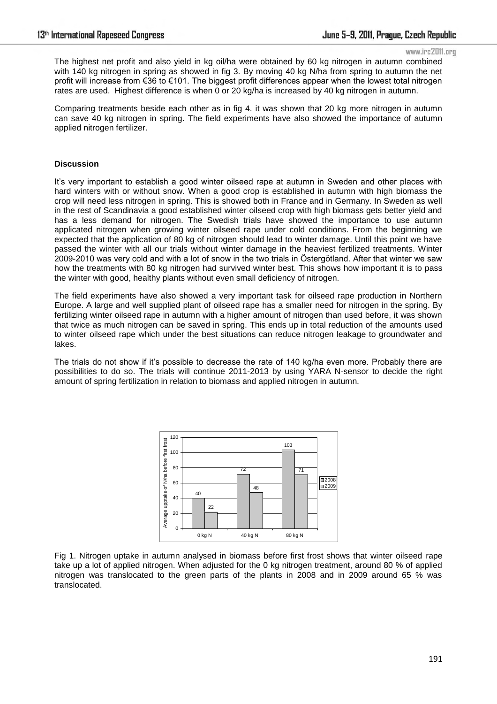#### www.irc2011.org

The highest net profit and also yield in kg oil/ha were obtained by 60 kg nitrogen in autumn combined with 140 kg nitrogen in spring as showed in fig 3. By moving 40 kg N/ha from spring to autumn the net profit will increase from €36 to €101. The biggest profit differences appear when the lowest total nitrogen rates are used. Highest difference is when 0 or 20 kg/ha is increased by 40 kg nitrogen in autumn.

Comparing treatments beside each other as in fig 4. it was shown that 20 kg more nitrogen in autumn can save 40 kg nitrogen in spring. The field experiments have also showed the importance of autumn applied nitrogen fertilizer.

#### **Discussion**

It's very important to establish a good winter oilseed rape at autumn in Sweden and other places with hard winters with or without snow. When a good crop is established in autumn with high biomass the crop will need less nitrogen in spring. This is showed both in France and in Germany. In Sweden as well in the rest of Scandinavia a good established winter oilseed crop with high biomass gets better yield and has a less demand for nitrogen. The Swedish trials have showed the importance to use autumn applicated nitrogen when growing winter oilseed rape under cold conditions. From the beginning we expected that the application of 80 kg of nitrogen should lead to winter damage. Until this point we have passed the winter with all our trials without winter damage in the heaviest fertilized treatments. Winter 2009-2010 was very cold and with a lot of snow in the two trials in Östergötland. After that winter we saw how the treatments with 80 kg nitrogen had survived winter best. This shows how important it is to pass the winter with good, healthy plants without even small deficiency of nitrogen.

The field experiments have also showed a very important task for oilseed rape production in Northern Europe. A large and well supplied plant of oilseed rape has a smaller need for nitrogen in the spring. By fertilizing winter oilseed rape in autumn with a higher amount of nitrogen than used before, it was shown that twice as much nitrogen can be saved in spring. This ends up in total reduction of the amounts used to winter oilseed rape which under the best situations can reduce nitrogen leakage to groundwater and lakes.

The trials do not show if it's possible to decrease the rate of 140 kg/ha even more. Probably there are possibilities to do so. The trials will continue 2011-2013 by using YARA N-sensor to decide the right amount of spring fertilization in relation to biomass and applied nitrogen in autumn.



Fig 1. Nitrogen uptake in autumn analysed in biomass before first frost shows that winter oilseed rape take up a lot of applied nitrogen. When adjusted for the 0 kg nitrogen treatment, around 80 % of applied nitrogen was translocated to the green parts of the plants in 2008 and in 2009 around 65 % was translocated.